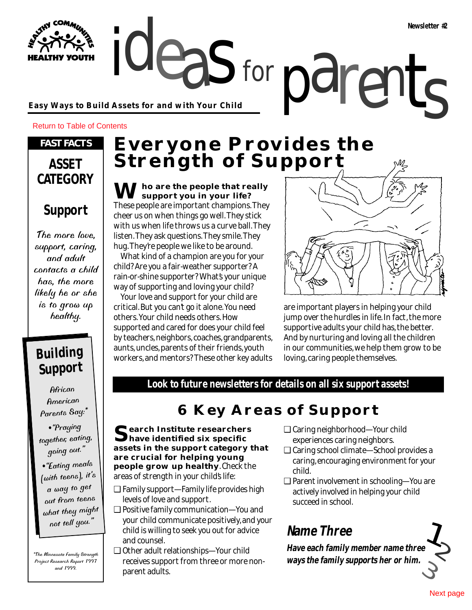ideas for parents **Easy Ways to Build Assets for and with Your Child**

Return to Table of Contents

**YOUTH** 

### *FAST FACTS*

### **ASSET CATEGORY**

## **Support**

The more love, support, caring, and adult contacts a child has, the more likely he or she is to grow up healthy.

### **Building Support**

**African** American Parents Say:\*

•"Praying together, eating, going out."

•"Eating meals [with teens], it's a way to ge<sup>t</sup> out from teens what they might not tell you."

\*The Minnesota Family Strength Project Research Report 1997 and 1999.

# **Everyone Provides the Strength of Support**

for

**Tho are the people that really support you in your life?** These people are important champions. They cheer us on when things go well. They stick with us when life throws us a curve ball. They listen. They ask questions. They smile. They hug. They're people we like to be around.

What kind of a champion are you for your child? Are you a fair-weather supporter? A rain-or-shine supporter? What's your unique way of supporting and loving your child?

Your love and support for your child are critical. But you can't go it alone. You need others. Your child needs others. How supported and cared for does your child feel by teachers, neighbors, coaches, grandparents, aunts, uncles, parents of their friends, youth workers, and mentors? These other key adults



are important players in helping your child jump over the hurdles in life. In fact, the more supportive adults your child has, the better. And by nurturing and loving all the children in our communities, we help them grow to be loving, caring people themselves.

**Look to future newsletters for details on all six support assets!**

### **6 Key Areas of Support**

**Search Institute researchers have identified six specific assets in the support category that are crucial for helping young people grow up healthy**. Check the areas of strength in your child's life:

- ❑ Family support—Family life provides high levels of love and support.
- ❑ Positive family communication—You and your child communicate positively, and your child is willing to seek you out for advice and counsel.
- ❑ Other adult relationships—Your child receives support from three or more nonparent adults.
- ❑ Caring neighborhood—Your child experiences caring neighbors.
- ❑ Caring school climate—School provides a caring, encouraging environment for your child.
- ❑ Parent involvement in schooling—You are actively involved in helping your child succeed in school.

## **Name Three**

 $\int_{Q}$ 3 **Have each family member name three ways the family supports her or him.**